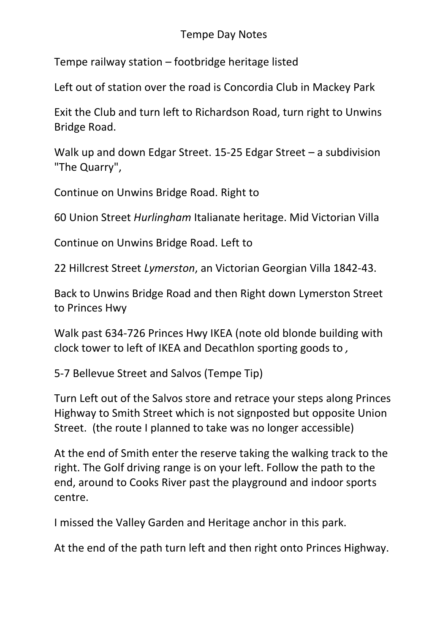## Tempe Day Notes

[Tempe railway station](https://en.wikipedia.org/wiki/Tempe_railway_station) – footbridge heritage listed

Left out of station over the road is Concordia Club in Mackey Park

Exit the Club and turn left to Richardson Road, turn right to Unwins Bridge Road.

Walk up and down Edgar Street. 15-25 Edgar Street – a subdivision "The Quarry",

Continue on Unwins Bridge Road. Right to

60 Union Street *Hurlingham* [Italianate](https://en.wikipedia.org/wiki/Italianate) heritage. Mid Victorian Villa

Continue on Unwins Bridge Road. Left to

22 Hillcrest Street *Lymerston*, an [Victorian](https://en.wikipedia.org/wiki/Italianate) Georgian Villa 1842-43.

Back to Unwins Bridge Road and then Right down Lymerston Street to Princes Hwy

Walk past 634-726 Princes Hwy IKEA (note old blonde building with clock tower to left of IKEA and Decathlon sporting goods to *,* 

5-7 Bellevue Street and Salvos (Tempe Tip)

Turn Left out of the Salvos store and retrace your steps along Princes Highway to Smith Street which is not signposted but opposite Union Street. (the route I planned to take was no longer accessible)

At the end of Smith enter the reserve taking the walking track to the right. The Golf driving range is on your left. Follow the path to the end, around to Cooks River past the playground and indoor sports centre.

I missed the Valley Garden and Heritage anchor in this park.

At the end of the path turn left and then right onto Princes Highway.